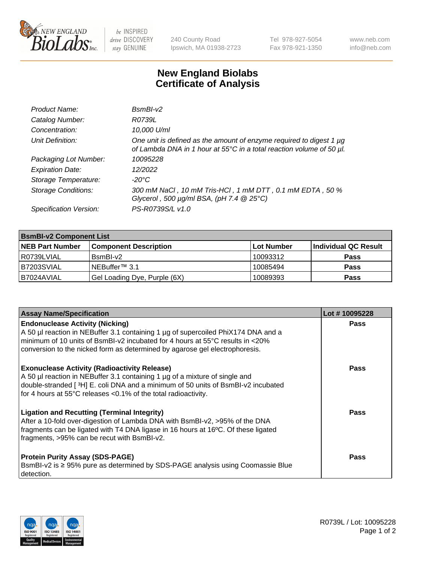

 $be$  INSPIRED drive DISCOVERY stay GENUINE

240 County Road Ipswich, MA 01938-2723 Tel 978-927-5054 Fax 978-921-1350 www.neb.com info@neb.com

## **New England Biolabs Certificate of Analysis**

| Product Name:              | $BsmBI-v2$                                                                                                                                  |
|----------------------------|---------------------------------------------------------------------------------------------------------------------------------------------|
| Catalog Number:            | R0739L                                                                                                                                      |
| Concentration:             | 10,000 U/ml                                                                                                                                 |
| Unit Definition:           | One unit is defined as the amount of enzyme required to digest 1 µg<br>of Lambda DNA in 1 hour at 55°C in a total reaction volume of 50 µl. |
| Packaging Lot Number:      | 10095228                                                                                                                                    |
| <b>Expiration Date:</b>    | 12/2022                                                                                                                                     |
| Storage Temperature:       | $-20^{\circ}$ C                                                                                                                             |
| <b>Storage Conditions:</b> | 300 mM NaCl, 10 mM Tris-HCl, 1 mM DTT, 0.1 mM EDTA, 50 %<br>Glycerol, 500 $\mu$ g/ml BSA, (pH 7.4 $@25°C$ )                                 |
| Specification Version:     | PS-R0739S/L v1.0                                                                                                                            |

| <b>BsmBI-v2 Component List</b> |                              |            |                      |  |
|--------------------------------|------------------------------|------------|----------------------|--|
| <b>NEB Part Number</b>         | <b>Component Description</b> | Lot Number | Individual QC Result |  |
| I R0739LVIAL                   | BsmBI-v2                     | 10093312   | <b>Pass</b>          |  |
| B7203SVIAL                     | INEBuffer™ 3.1               | 10085494   | <b>Pass</b>          |  |
| B7024AVIAL                     | Gel Loading Dye, Purple (6X) | 10089393   | <b>Pass</b>          |  |

| <b>Assay Name/Specification</b>                                                                                                                                                                                                                                                                       | Lot #10095228 |
|-------------------------------------------------------------------------------------------------------------------------------------------------------------------------------------------------------------------------------------------------------------------------------------------------------|---------------|
| <b>Endonuclease Activity (Nicking)</b><br>A 50 µl reaction in NEBuffer 3.1 containing 1 µg of supercoiled PhiX174 DNA and a<br>minimum of 10 units of BsmBI-v2 incubated for 4 hours at 55 $\degree$ C results in <20%<br>conversion to the nicked form as determined by agarose gel electrophoresis. | <b>Pass</b>   |
| <b>Exonuclease Activity (Radioactivity Release)</b><br>A 50 µl reaction in NEBuffer 3.1 containing 1 µg of a mixture of single and<br>double-stranded [3H] E. coli DNA and a minimum of 50 units of BsmBI-v2 incubated<br>for 4 hours at 55°C releases <0.1% of the total radioactivity.              | <b>Pass</b>   |
| <b>Ligation and Recutting (Terminal Integrity)</b><br>After a 10-fold over-digestion of Lambda DNA with BsmBI-v2, >95% of the DNA<br>fragments can be ligated with T4 DNA ligase in 16 hours at 16°C. Of these ligated<br>fragments, >95% can be recut with BsmBI-v2.                                 | <b>Pass</b>   |
| <b>Protein Purity Assay (SDS-PAGE)</b><br>BsmBI-v2 is ≥ 95% pure as determined by SDS-PAGE analysis using Coomassie Blue<br>l detection.                                                                                                                                                              | <b>Pass</b>   |